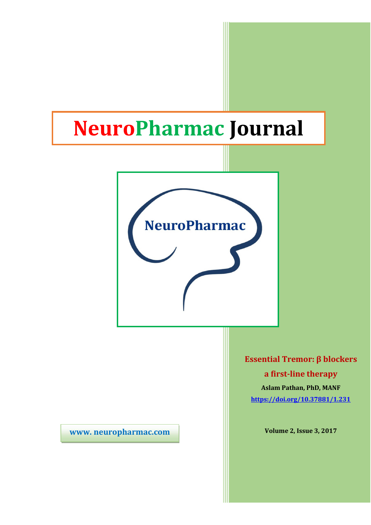# NeuroPharmac Journal



www. neuropharmac.com

Essential Tremor: β blockers a first-line therapy

Aslam Pathan, PhD, MANF https://doi.org/10.37881/1.231

Volume 2, Issue 3, 2017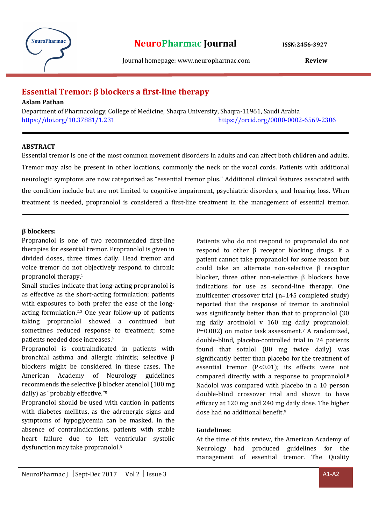

Journal homepage: www.neuropharmac.com Review

## Essential Tremor: β blockers a first-line therapy

Aslam Pathan

Department of Pharmacology, College of Medicine, Shaqra University, Shaqra-11961, Saudi Arabia https://doi.org/10.37881/1.231 https://orcid.org/0000-0002-6569-2306

## ABSTRACT

Essential tremor is one of the most common movement disorders in adults and can affect both children and adults. Tremor may also be present in other locations, commonly the neck or the vocal cords. Patients with additional neurologic symptoms are now categorized as "essential tremor plus." Additional clinical features associated with the condition include but are not limited to cognitive impairment, psychiatric disorders, and hearing loss. When treatment is needed, propranolol is considered a first-line treatment in the management of essential tremor.

## β blockers:

Propranolol is one of two recommended first-line therapies for essential tremor. Propranolol is given in divided doses, three times daily. Head tremor and voice tremor do not objectively respond to chronic propranolol therapy.<sup>1</sup>

Small studies indicate that long-acting propranolol is as effective as the short-acting formulation; patients with exposures to both prefer the ease of the longacting formulation.2,3 One year follow-up of patients taking propranolol showed a continued but sometimes reduced response to treatment; some patients needed dose increases.<sup>4</sup>

Propranolol is contraindicated in patients with bronchial asthma and allergic rhinitis; selective β blockers might be considered in these cases. The American Academy of Neurology guidelines recommends the selective β blocker atenolol (100 mg daily) as "probably effective."<sup>5</sup>

Propranolol should be used with caution in patients with diabetes mellitus, as the adrenergic signs and symptoms of hypoglycemia can be masked. In the absence of contraindications, patients with stable heart failure due to left ventricular systolic dysfunction may take propranolol.<sup>6</sup>

Patients who do not respond to propranolol do not respond to other β receptor blocking drugs. If a patient cannot take propranolol for some reason but could take an alternate non-selective β receptor blocker, three other non-selective β blockers have indications for use as second-line therapy. One multicenter crossover trial (n=145 completed study) reported that the response of tremor to arotinolol was significantly better than that to propranolol (30 mg daily arotinolol v 160 mg daily propranolol; P=0.002) on motor task assessment.<sup>7</sup> A randomized, double-blind, placebo-controlled trial in 24 patients found that sotalol (80 mg twice daily) was significantly better than placebo for the treatment of essential tremor (P<0.01); its effects were not compared directly with a response to propranolol.<sup>8</sup> Nadolol was compared with placebo in a 10 person double-blind crossover trial and shown to have efficacy at 120 mg and 240 mg daily dose. The higher dose had no additional benefit.<sup>9</sup>

## Guidelines:

At the time of this review, the American Academy of Neurology had produced guidelines for the management of essential tremor. The Quality